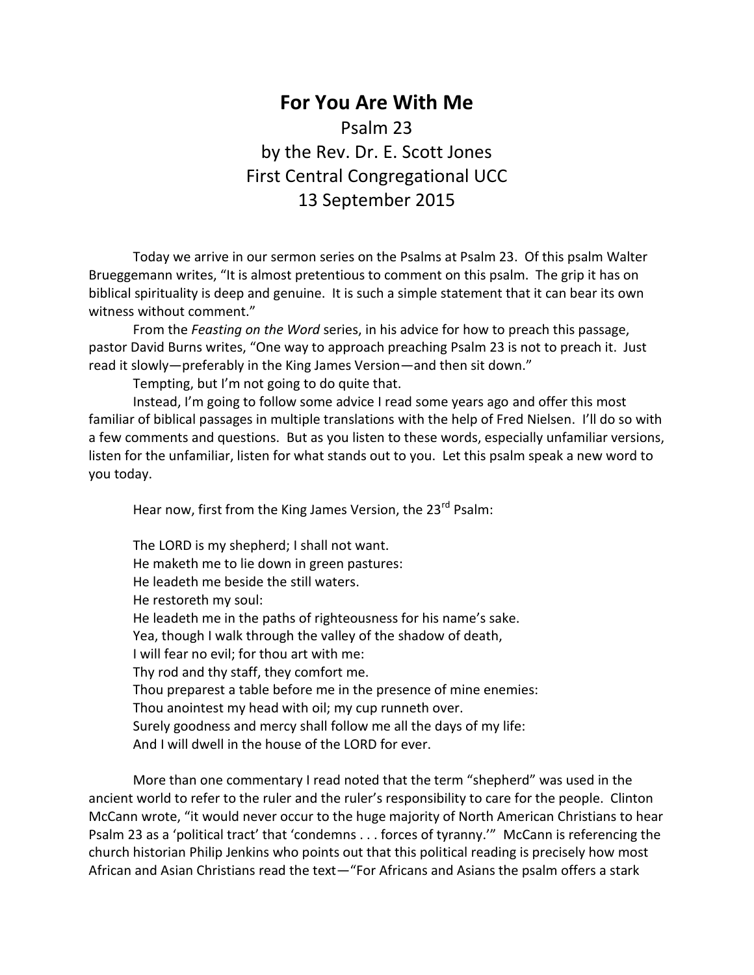## **For You Are With Me** Psalm 23 by the Rev. Dr. E. Scott Jones First Central Congregational UCC 13 September 2015

Today we arrive in our sermon series on the Psalms at Psalm 23. Of this psalm Walter Brueggemann writes, "It is almost pretentious to comment on this psalm. The grip it has on biblical spirituality is deep and genuine. It is such a simple statement that it can bear its own witness without comment."

From the *Feasting on the Word* series, in his advice for how to preach this passage, pastor David Burns writes, "One way to approach preaching Psalm 23 is not to preach it. Just read it slowly—preferably in the King James Version—and then sit down."

Tempting, but I'm not going to do quite that.

Instead, I'm going to follow some advice I read some years ago and offer this most familiar of biblical passages in multiple translations with the help of Fred Nielsen. I'll do so with a few comments and questions. But as you listen to these words, especially unfamiliar versions, listen for the unfamiliar, listen for what stands out to you. Let this psalm speak a new word to you today.

Hear now, first from the King James Version, the 23<sup>rd</sup> Psalm:

The LORD is my shepherd; I shall not want. He maketh me to lie down in green pastures: He leadeth me beside the still waters. He restoreth my soul: He leadeth me in the paths of righteousness for his name's sake. Yea, though I walk through the valley of the shadow of death, I will fear no evil; for thou art with me: Thy rod and thy staff, they comfort me. Thou preparest a table before me in the presence of mine enemies: Thou anointest my head with oil; my cup runneth over. Surely goodness and mercy shall follow me all the days of my life: And I will dwell in the house of the LORD for ever.

More than one commentary I read noted that the term "shepherd" was used in the ancient world to refer to the ruler and the ruler's responsibility to care for the people. Clinton McCann wrote, "it would never occur to the huge majority of North American Christians to hear Psalm 23 as a 'political tract' that 'condemns . . . forces of tyranny.'" McCann is referencing the church historian Philip Jenkins who points out that this political reading is precisely how most African and Asian Christians read the text—"For Africans and Asians the psalm offers a stark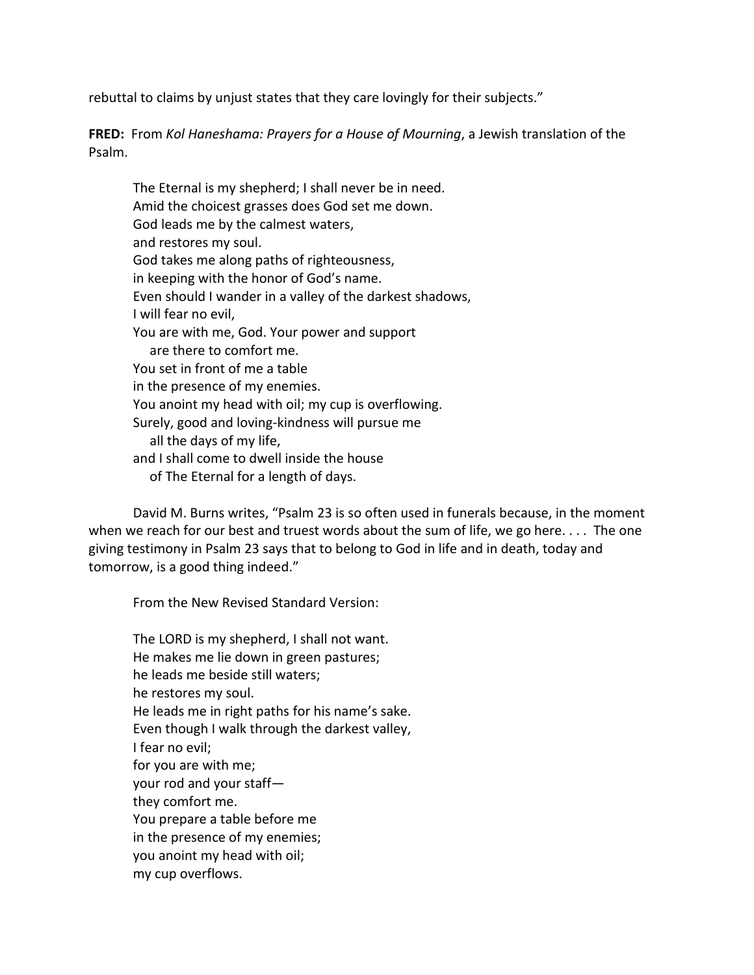rebuttal to claims by unjust states that they care lovingly for their subjects."

**FRED:** From *Kol Haneshama: Prayers for a House of Mourning*, a Jewish translation of the Psalm.

The Eternal is my shepherd; I shall never be in need. Amid the choicest grasses does God set me down. God leads me by the calmest waters, and restores my soul. God takes me along paths of righteousness, in keeping with the honor of God's name. Even should I wander in a valley of the darkest shadows, I will fear no evil, You are with me, God. Your power and support are there to comfort me. You set in front of me a table in the presence of my enemies. You anoint my head with oil; my cup is overflowing. Surely, good and loving-kindness will pursue me all the days of my life, and I shall come to dwell inside the house of The Eternal for a length of days.

David M. Burns writes, "Psalm 23 is so often used in funerals because, in the moment when we reach for our best and truest words about the sum of life, we go here.... The one giving testimony in Psalm 23 says that to belong to God in life and in death, today and tomorrow, is a good thing indeed."

From the New Revised Standard Version:

The LORD is my shepherd, I shall not want. He makes me lie down in green pastures; he leads me beside still waters; he restores my soul. He leads me in right paths for his name's sake. Even though I walk through the darkest valley, I fear no evil; for you are with me; your rod and your staff they comfort me. You prepare a table before me in the presence of my enemies; you anoint my head with oil; my cup overflows.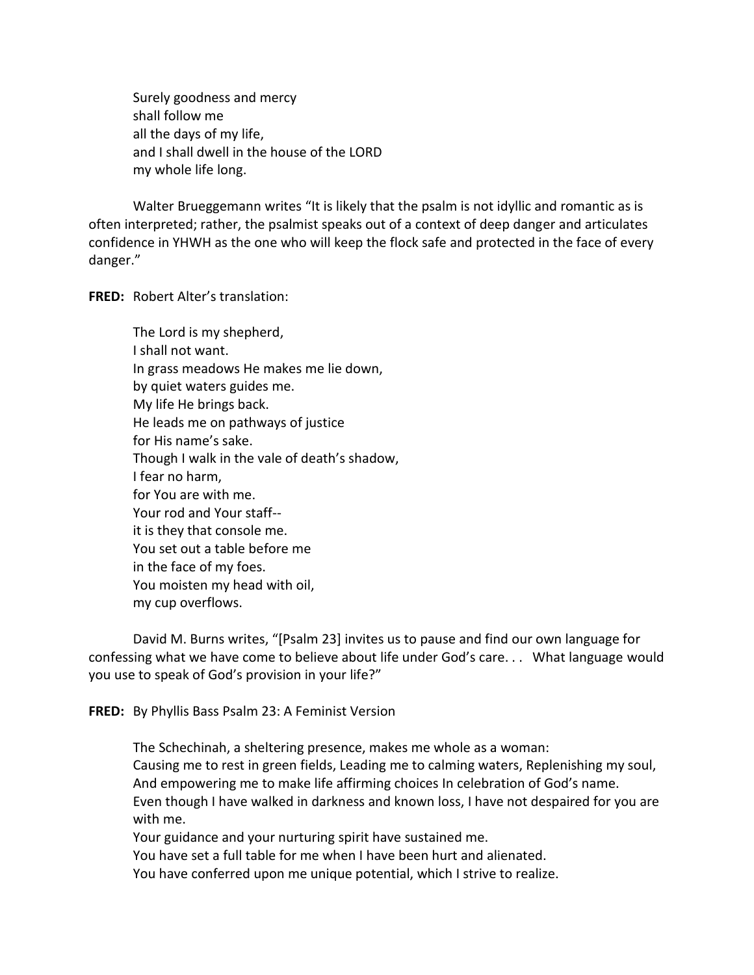Surely goodness and mercy shall follow me all the days of my life, and I shall dwell in the house of the LORD my whole life long.

Walter Brueggemann writes "It is likely that the psalm is not idyllic and romantic as is often interpreted; rather, the psalmist speaks out of a context of deep danger and articulates confidence in YHWH as the one who will keep the flock safe and protected in the face of every danger."

**FRED:** Robert Alter's translation:

The Lord is my shepherd, I shall not want. In grass meadows He makes me lie down, by quiet waters guides me. My life He brings back. He leads me on pathways of justice for His name's sake. Though I walk in the vale of death's shadow, I fear no harm, for You are with me. Your rod and Your staff- it is they that console me. You set out a table before me in the face of my foes. You moisten my head with oil, my cup overflows.

David M. Burns writes, "[Psalm 23] invites us to pause and find our own language for confessing what we have come to believe about life under God's care. . . What language would you use to speak of God's provision in your life?"

**FRED:** By Phyllis Bass Psalm 23: A Feminist Version

The Schechinah, a sheltering presence, makes me whole as a woman: Causing me to rest in green fields, Leading me to calming waters, Replenishing my soul, And empowering me to make life affirming choices In celebration of God's name. Even though I have walked in darkness and known loss, I have not despaired for you are with me. Your guidance and your nurturing spirit have sustained me.

You have set a full table for me when I have been hurt and alienated.

You have conferred upon me unique potential, which I strive to realize.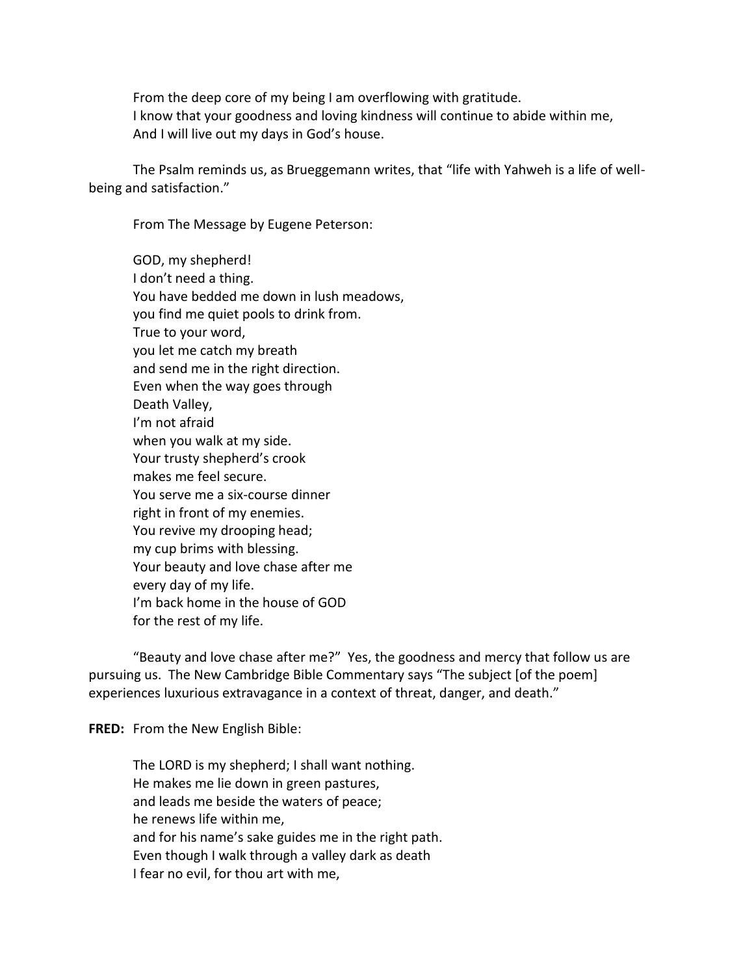From the deep core of my being I am overflowing with gratitude. I know that your goodness and loving kindness will continue to abide within me, And I will live out my days in God's house.

The Psalm reminds us, as Brueggemann writes, that "life with Yahweh is a life of wellbeing and satisfaction."

From The Message by Eugene Peterson:

GOD, my shepherd! I don't need a thing. You have bedded me down in lush meadows, you find me quiet pools to drink from. True to your word, you let me catch my breath and send me in the right direction. Even when the way goes through Death Valley, I'm not afraid when you walk at my side. Your trusty shepherd's crook makes me feel secure. You serve me a six-course dinner right in front of my enemies. You revive my drooping head; my cup brims with blessing. Your beauty and love chase after me every day of my life. I'm back home in the house of GOD for the rest of my life.

"Beauty and love chase after me?" Yes, the goodness and mercy that follow us are pursuing us. The New Cambridge Bible Commentary says "The subject [of the poem] experiences luxurious extravagance in a context of threat, danger, and death."

**FRED:** From the New English Bible:

The LORD is my shepherd; I shall want nothing. He makes me lie down in green pastures, and leads me beside the waters of peace; he renews life within me, and for his name's sake guides me in the right path. Even though I walk through a valley dark as death I fear no evil, for thou art with me,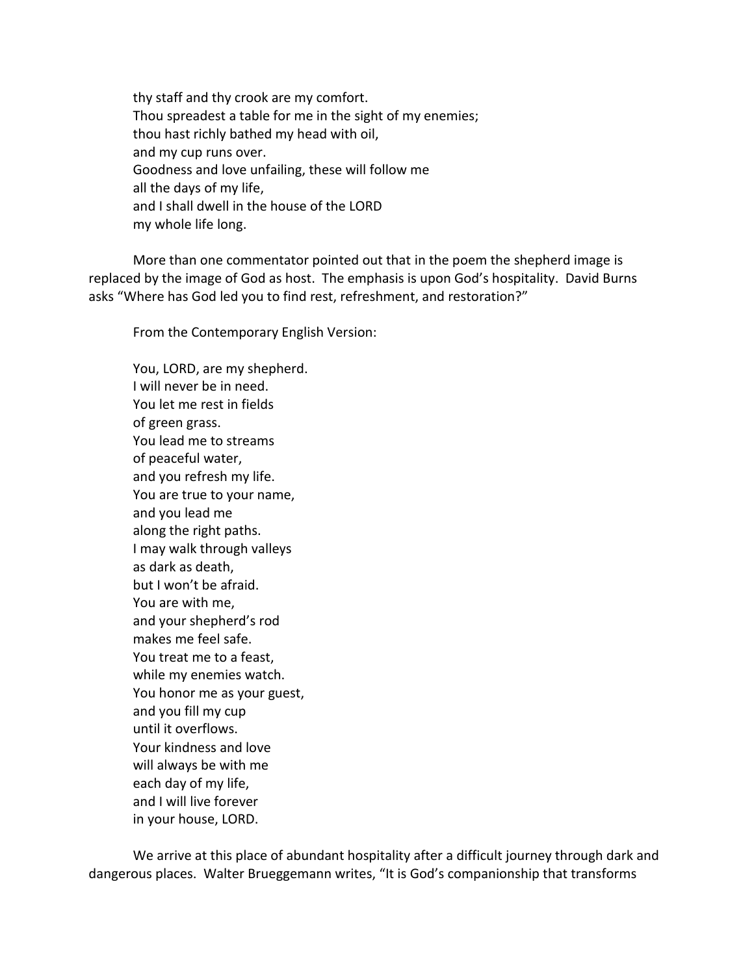thy staff and thy crook are my comfort. Thou spreadest a table for me in the sight of my enemies; thou hast richly bathed my head with oil, and my cup runs over. Goodness and love unfailing, these will follow me all the days of my life, and I shall dwell in the house of the LORD my whole life long.

More than one commentator pointed out that in the poem the shepherd image is replaced by the image of God as host. The emphasis is upon God's hospitality. David Burns asks "Where has God led you to find rest, refreshment, and restoration?"

From the Contemporary English Version:

You, LORD, are my shepherd. I will never be in need. You let me rest in fields of green grass. You lead me to streams of peaceful water, and you refresh my life. You are true to your name, and you lead me along the right paths. I may walk through valleys as dark as death, but I won't be afraid. You are with me, and your shepherd's rod makes me feel safe. You treat me to a feast, while my enemies watch. You honor me as your guest, and you fill my cup until it overflows. Your kindness and love will always be with me each day of my life, and I will live forever in your house, LORD.

We arrive at this place of abundant hospitality after a difficult journey through dark and dangerous places. Walter Brueggemann writes, "It is God's companionship that transforms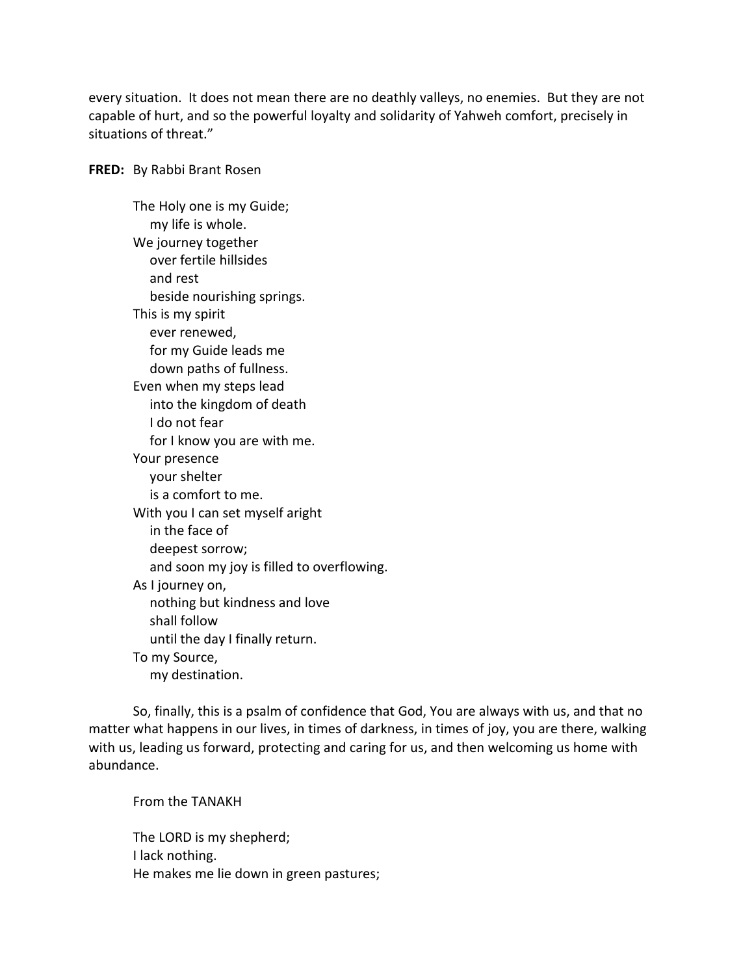every situation. It does not mean there are no deathly valleys, no enemies. But they are not capable of hurt, and so the powerful loyalty and solidarity of Yahweh comfort, precisely in situations of threat."

**FRED:** By Rabbi Brant Rosen

The Holy one is my Guide; my life is whole. We journey together over fertile hillsides and rest beside nourishing springs. This is my spirit ever renewed, for my Guide leads me down paths of fullness. Even when my steps lead into the kingdom of death I do not fear for I know you are with me. Your presence your shelter is a comfort to me. With you I can set myself aright in the face of deepest sorrow; and soon my joy is filled to overflowing. As I journey on, nothing but kindness and love shall follow until the day I finally return. To my Source, my destination.

So, finally, this is a psalm of confidence that God, You are always with us, and that no matter what happens in our lives, in times of darkness, in times of joy, you are there, walking with us, leading us forward, protecting and caring for us, and then welcoming us home with abundance.

From the TANAKH The LORD is my shepherd; I lack nothing.

He makes me lie down in green pastures;